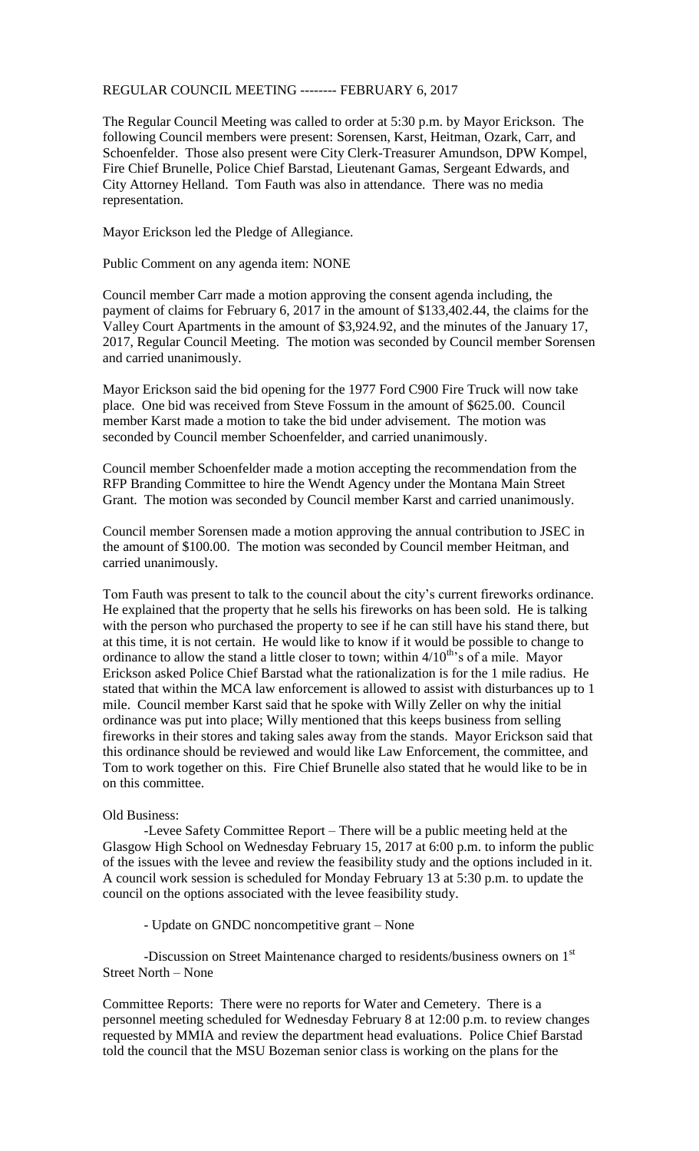## REGULAR COUNCIL MEETING -------- FEBRUARY 6, 2017

The Regular Council Meeting was called to order at 5:30 p.m. by Mayor Erickson. The following Council members were present: Sorensen, Karst, Heitman, Ozark, Carr, and Schoenfelder. Those also present were City Clerk-Treasurer Amundson, DPW Kompel, Fire Chief Brunelle, Police Chief Barstad, Lieutenant Gamas, Sergeant Edwards, and City Attorney Helland. Tom Fauth was also in attendance. There was no media representation.

Mayor Erickson led the Pledge of Allegiance.

Public Comment on any agenda item: NONE

Council member Carr made a motion approving the consent agenda including, the payment of claims for February 6, 2017 in the amount of \$133,402.44, the claims for the Valley Court Apartments in the amount of \$3,924.92, and the minutes of the January 17, 2017, Regular Council Meeting. The motion was seconded by Council member Sorensen and carried unanimously.

Mayor Erickson said the bid opening for the 1977 Ford C900 Fire Truck will now take place. One bid was received from Steve Fossum in the amount of \$625.00. Council member Karst made a motion to take the bid under advisement. The motion was seconded by Council member Schoenfelder, and carried unanimously.

Council member Schoenfelder made a motion accepting the recommendation from the RFP Branding Committee to hire the Wendt Agency under the Montana Main Street Grant. The motion was seconded by Council member Karst and carried unanimously.

Council member Sorensen made a motion approving the annual contribution to JSEC in the amount of \$100.00. The motion was seconded by Council member Heitman, and carried unanimously.

Tom Fauth was present to talk to the council about the city's current fireworks ordinance. He explained that the property that he sells his fireworks on has been sold. He is talking with the person who purchased the property to see if he can still have his stand there, but at this time, it is not certain. He would like to know if it would be possible to change to ordinance to allow the stand a little closer to town; within  $4/10^{th}$ 's of a mile. Mayor Erickson asked Police Chief Barstad what the rationalization is for the 1 mile radius. He stated that within the MCA law enforcement is allowed to assist with disturbances up to 1 mile. Council member Karst said that he spoke with Willy Zeller on why the initial ordinance was put into place; Willy mentioned that this keeps business from selling fireworks in their stores and taking sales away from the stands. Mayor Erickson said that this ordinance should be reviewed and would like Law Enforcement, the committee, and Tom to work together on this. Fire Chief Brunelle also stated that he would like to be in on this committee.

## Old Business:

-Levee Safety Committee Report – There will be a public meeting held at the Glasgow High School on Wednesday February 15, 2017 at 6:00 p.m. to inform the public of the issues with the levee and review the feasibility study and the options included in it. A council work session is scheduled for Monday February 13 at 5:30 p.m. to update the council on the options associated with the levee feasibility study.

- Update on GNDC noncompetitive grant – None

-Discussion on Street Maintenance charged to residents/business owners on 1<sup>st</sup> Street North – None

Committee Reports: There were no reports for Water and Cemetery. There is a personnel meeting scheduled for Wednesday February 8 at 12:00 p.m. to review changes requested by MMIA and review the department head evaluations. Police Chief Barstad told the council that the MSU Bozeman senior class is working on the plans for the